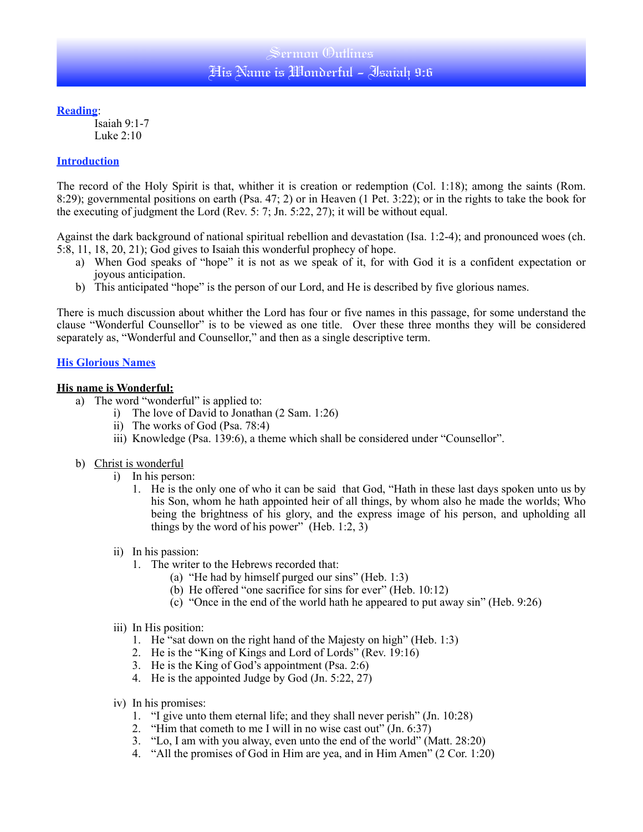## Sermon (Dutlines His Name is Wonderful - Isaiah 9:6

**Reading**:

Isaiah 9:1-7 Luke  $2:10$ 

#### **Introduction**

The record of the Holy Spirit is that, whither it is creation or redemption (Col. 1:18); among the saints (Rom. 8:29); governmental positions on earth (Psa. 47; 2) or in Heaven (1 Pet. 3:22); or in the rights to take the book for the executing of judgment the Lord (Rev. 5: 7; Jn. 5:22, 27); it will be without equal.

Against the dark background of national spiritual rebellion and devastation (Isa. 1:2-4); and pronounced woes (ch. 5:8, 11, 18, 20, 21); God gives to Isaiah this wonderful prophecy of hope.

- a) When God speaks of "hope" it is not as we speak of it, for with God it is a confident expectation or joyous anticipation.
- b) This anticipated "hope" is the person of our Lord, and He is described by five glorious names.

There is much discussion about whither the Lord has four or five names in this passage, for some understand the clause "Wonderful Counsellor" is to be viewed as one title. Over these three months they will be considered separately as, "Wonderful and Counsellor," and then as a single descriptive term.

### **His Glorious Names**

#### **His name is Wonderful:**

- a) The word "wonderful" is applied to:
	- i) The love of David to Jonathan (2 Sam. 1:26)
	- ii) The works of God (Psa. 78:4)
	- iii) Knowledge (Psa. 139:6), a theme which shall be considered under "Counsellor".
- b) Christ is wonderful
	- i) In his person:
		- 1. He is the only one of who it can be said that God, "Hath in these last days spoken unto us by his Son, whom he hath appointed heir of all things, by whom also he made the worlds; Who being the brightness of his glory, and the express image of his person, and upholding all things by the word of his power"  $(Heb. 1:2, 3)$
	- ii) In his passion:
		- 1. The writer to the Hebrews recorded that:
			- (a) "He had by himself purged our sins" (Heb. 1:3)
			- (b) He offered "one sacrifice for sins for ever" (Heb. 10:12)
			- (c) "Once in the end of the world hath he appeared to put away sin" (Heb. 9:26)
	- iii) In His position:
		- 1. He "sat down on the right hand of the Majesty on high" (Heb. 1:3)
		- 2. He is the "King of Kings and Lord of Lords" (Rev. 19:16)
		- 3. He is the King of God's appointment (Psa. 2:6)
		- 4. He is the appointed Judge by God (Jn. 5:22, 27)
	- iv) In his promises:
		- 1. "I give unto them eternal life; and they shall never perish" (Jn. 10:28)
		- 2. "Him that cometh to me I will in no wise cast out" (Jn. 6:37)
		- 3. "Lo, I am with you alway, even unto the end of the world" (Matt. 28:20)
		- 4. "All the promises of God in Him are yea, and in Him Amen" (2 Cor. 1:20)